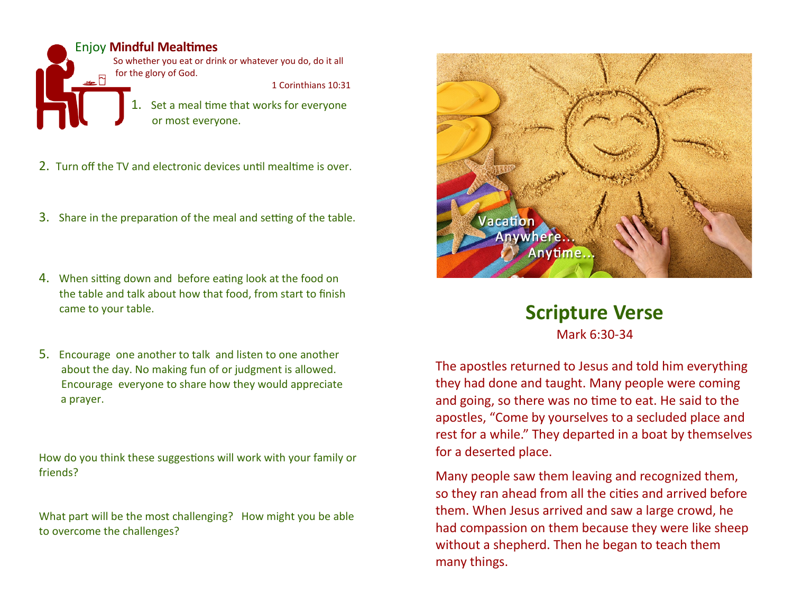Enjoy **Mindful Mealtimes**  I Set a meal time that works for everyone So whether you eat or drink or whatever you do, do it all for the glory of God. 1 Corinthians 10:31

or most everyone.

- 2. Turn off the TV and electronic devices until mealtime is over.
- 3. Share in the preparation of the meal and setting of the table.
- 4. When sitting down and before eating look at the food on the table and talk about how that food, from start to finish came to your table.
- 5. Encourage one another to talk and listen to one another about the day. No making fun of or judgment is allowed. Encourage everyone to share how they would appreciate a prayer.

How do you think these suggestions will work with your family or friends?

What part will be the most challenging? How might you be able to overcome the challenges?



## **Scripture Verse**

Mark 6:30-34

The apostles returned to Jesus and told him everything they had done and taught. Many people were coming and going, so there was no time to eat. He said to the apostles, "Come by yourselves to a secluded place and rest for a while." They departed in a boat by themselves for a deserted place.

Many people saw them leaving and recognized them, so they ran ahead from all the cities and arrived before them. When Jesus arrived and saw a large crowd, he had compassion on them because they were like sheep without a shepherd. Then he began to teach them many things.